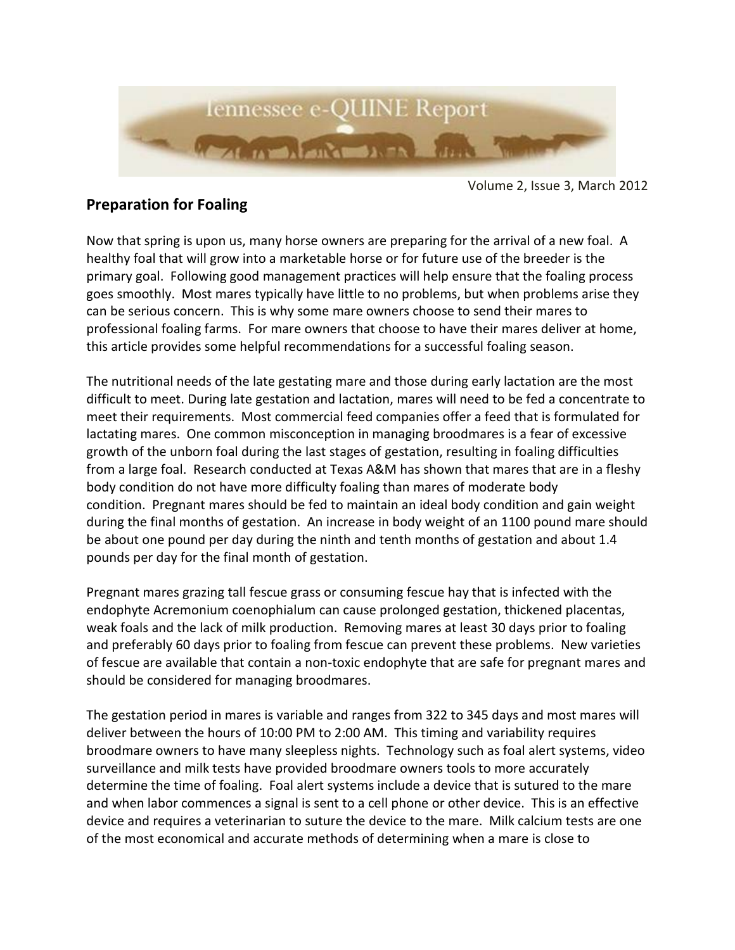

Volume 2, Issue 3, March 2012

## **Preparation for Foaling**

Now that spring is upon us, many horse owners are preparing for the arrival of a new foal. A healthy foal that will grow into a marketable horse or for future use of the breeder is the primary goal. Following good management practices will help ensure that the foaling process goes smoothly. Most mares typically have little to no problems, but when problems arise they can be serious concern. This is why some mare owners choose to send their mares to professional foaling farms. For mare owners that choose to have their mares deliver at home, this article provides some helpful recommendations for a successful foaling season.

The nutritional needs of the late gestating mare and those during early lactation are the most difficult to meet. During late gestation and lactation, mares will need to be fed a concentrate to meet their requirements. Most commercial feed companies offer a feed that is formulated for lactating mares. One common misconception in managing broodmares is a fear of excessive growth of the unborn foal during the last stages of gestation, resulting in foaling difficulties from a large foal. Research conducted at Texas A&M has shown that mares that are in a fleshy body condition do not have more difficulty foaling than mares of moderate body condition. Pregnant mares should be fed to maintain an ideal body condition and gain weight during the final months of gestation. An increase in body weight of an 1100 pound mare should be about one pound per day during the ninth and tenth months of gestation and about 1.4 pounds per day for the final month of gestation.

Pregnant mares grazing tall fescue grass or consuming fescue hay that is infected with the endophyte Acremonium coenophialum can cause prolonged gestation, thickened placentas, weak foals and the lack of milk production. Removing mares at least 30 days prior to foaling and preferably 60 days prior to foaling from fescue can prevent these problems. New varieties of fescue are available that contain a non-toxic endophyte that are safe for pregnant mares and should be considered for managing broodmares.

The gestation period in mares is variable and ranges from 322 to 345 days and most mares will deliver between the hours of 10:00 PM to 2:00 AM. This timing and variability requires broodmare owners to have many sleepless nights. Technology such as foal alert systems, video surveillance and milk tests have provided broodmare owners tools to more accurately determine the time of foaling. Foal alert systems include a device that is sutured to the mare and when labor commences a signal is sent to a cell phone or other device. This is an effective device and requires a veterinarian to suture the device to the mare. Milk calcium tests are one of the most economical and accurate methods of determining when a mare is close to